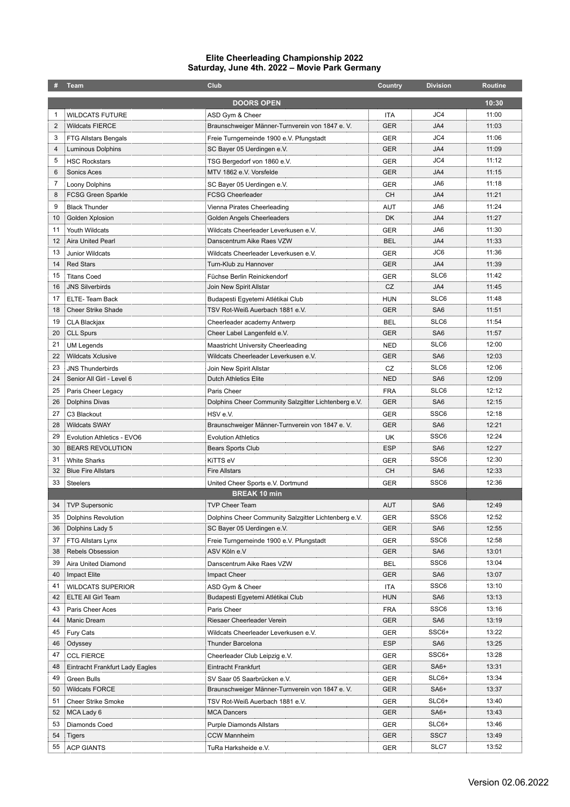## **Elite Cheerleading Championship 2022 Saturday, June 4th. 2022 – Movie Park Germany**

| #                   | Team                            | Club                                                   | Country          | <b>Division</b>  | <b>Routine</b> |  |  |  |  |
|---------------------|---------------------------------|--------------------------------------------------------|------------------|------------------|----------------|--|--|--|--|
|                     | <b>DOORS OPEN</b><br>10:30      |                                                        |                  |                  |                |  |  |  |  |
| 1                   | <b>WILDCATS FUTURE</b>          | ASD Gym & Cheer                                        | ITA              | JC4              | 11:00          |  |  |  |  |
| 2                   | <b>Wildcats FIERCE</b>          | Braunschweiger Männer-Turnverein von 1847 e.V.         | <b>GER</b>       | JA4              | 11:03          |  |  |  |  |
| 3                   | FTG Allstars Bengals            | Freie Turngemeinde 1900 e.V. Pfungstadt                | <b>GER</b>       | JC4              | 11:06          |  |  |  |  |
| 4                   | Luminous Dolphins               | SC Bayer 05 Uerdingen e.V.                             | <b>GER</b>       | JA4              | 11:09          |  |  |  |  |
| 5                   | <b>HSC Rockstars</b>            |                                                        | <b>GER</b>       | JC4              | 11:12          |  |  |  |  |
| 6                   | Sonics Aces                     | TSG Bergedorf von 1860 e.V.<br>MTV 1862 e.V. Vorsfelde | <b>GER</b>       | JA4              | 11:15          |  |  |  |  |
| 7                   |                                 |                                                        |                  | JA6              | 11:18          |  |  |  |  |
| 8                   | Loony Dolphins                  | SC Bayer 05 Uerdingen e.V.                             | <b>GER</b><br>CН | JA4              | 11:21          |  |  |  |  |
|                     | <b>FCSG Green Sparkle</b>       | FCSG Cheerleader                                       |                  |                  |                |  |  |  |  |
| 9                   | <b>Black Thunder</b>            | Vienna Pirates Cheerleading                            | AUT              | JA6              | 11:24          |  |  |  |  |
| 10                  | Golden Xplosion                 | Golden Angels Cheerleaders                             | DK               | JA4              | 11:27          |  |  |  |  |
| 11                  | Youth Wildcats                  | Wildcats Cheerleader Leverkusen e.V.                   | <b>GER</b>       | JA6              | 11:30          |  |  |  |  |
| 12                  | Aira United Pearl               | Danscentrum Aike Raes VZW                              | BEL              | JA4              | 11:33          |  |  |  |  |
| 13                  | <b>Junior Wildcats</b>          | Wildcats Cheerleader Leverkusen e.V.                   | <b>GER</b>       | JC6              | 11:36          |  |  |  |  |
| 14                  | <b>Red Stars</b>                | Turn-Klub zu Hannover                                  | <b>GER</b>       | JA4              | 11:39          |  |  |  |  |
| 15                  | <b>Titans Coed</b>              | Füchse Berlin Reinickendorf                            | <b>GER</b>       | SLC6             | 11:42          |  |  |  |  |
| 16                  | <b>JNS Silverbirds</b>          | Join New Spirit Allstar                                | CZ               | JA4              | 11:45          |  |  |  |  |
| 17                  | ELTE-Team Back                  | Budapesti Egyetemi Atlétikai Club                      | <b>HUN</b>       | SLC6             | 11:48          |  |  |  |  |
| 18                  | <b>Cheer Strike Shade</b>       | TSV Rot-Weiß Auerbach 1881 e.V.                        | <b>GER</b>       | SA6              | 11:51          |  |  |  |  |
| 19                  | CLA Blackjax                    | Cheerleader academy Antwerp                            | BEL              | SLC6             | 11:54          |  |  |  |  |
| 20                  | <b>CLL Spurs</b>                | Cheer Label Langenfeld e.V.                            | <b>GER</b>       | SA6              | 11:57          |  |  |  |  |
| 21                  | <b>UM Legends</b>               | <b>Maastricht University Cheerleading</b>              | <b>NED</b>       | SLC6             | 12:00          |  |  |  |  |
| 22                  | <b>Wildcats Xclusive</b>        | Wildcats Cheerleader Leverkusen e.V.                   | <b>GER</b>       | SA6              | 12:03          |  |  |  |  |
| 23                  | <b>JNS Thunderbirds</b>         | Join New Spirit Allstar                                | CZ               | SLC6             | 12:06          |  |  |  |  |
| 24                  | Senior All Girl - Level 6       | Dutch Athletics Elite                                  | NED              | SA6              | 12:09          |  |  |  |  |
| 25                  | Paris Cheer Legacy              | Paris Cheer                                            | <b>FRA</b>       | SLC6             | 12:12          |  |  |  |  |
| 26                  | Dolphins Divas                  | Dolphins Cheer Community Salzgitter Lichtenberg e.V.   | <b>GER</b>       | SA6              | 12:15          |  |  |  |  |
| 27                  | C3 Blackout                     | HSV e.V.                                               | <b>GER</b>       | SSC <sub>6</sub> | 12:18          |  |  |  |  |
| 28                  | <b>Wildcats SWAY</b>            | Braunschweiger Männer-Turnverein von 1847 e.V.         | <b>GER</b>       | SA6              | 12:21          |  |  |  |  |
| 29                  | Evolution Athletics - EVO6      | <b>Evolution Athletics</b>                             | UK               | SSC <sub>6</sub> | 12:24          |  |  |  |  |
| 30                  | <b>BEARS REVOLUTION</b>         | Bears Sports Club                                      | ESP              | SA6              | 12:27          |  |  |  |  |
| 31                  | <b>White Sharks</b>             | KiTTS eV                                               | <b>GER</b>       | SSC <sub>6</sub> | 12:30          |  |  |  |  |
| 32                  | <b>Blue Fire Allstars</b>       | <b>Fire Allstars</b>                                   | CН               | SA6              | 12:33          |  |  |  |  |
| 33                  | Steelers                        | United Cheer Sports e.V. Dortmund                      | <b>GER</b>       | SSC <sub>6</sub> | 12:36          |  |  |  |  |
| <b>BREAK 10 min</b> |                                 |                                                        |                  |                  |                |  |  |  |  |
| 34                  | TVP Supersonic                  | <b>TVP Cheer Team</b>                                  | <b>AUT</b>       | SA <sub>6</sub>  | 12:49          |  |  |  |  |
| 35                  | <b>Dolphins Revolution</b>      | Dolphins Cheer Community Salzgitter Lichtenberg e.V.   | <b>GER</b>       | SSC <sub>6</sub> | 12:52          |  |  |  |  |
| 36                  | Dolphins Lady 5                 | SC Bayer 05 Uerdingen e.V.                             | GER              | SA6              | 12:55          |  |  |  |  |
| 37                  | FTG Allstars Lynx               | Freie Turngemeinde 1900 e.V. Pfungstadt                | GER              | SSC <sub>6</sub> | 12:58          |  |  |  |  |
| 38                  | <b>Rebels Obsession</b>         | ASV Köln e.V                                           | GER              | SA6              | 13:01          |  |  |  |  |
| 39                  | Aira United Diamond             | Danscentrum Aike Raes VZW                              | BEL              | SSC <sub>6</sub> | 13:04          |  |  |  |  |
| 40                  | Impact Elite                    | Impact Cheer                                           | GER              | SA6              | 13:07          |  |  |  |  |
| 41                  | <b>WILDCATS SUPERIOR</b>        | ASD Gym & Cheer                                        | ITA              | SSC <sub>6</sub> | 13:10          |  |  |  |  |
| 42                  | ELTE All Girl Team              | Budapesti Egyetemi Atlétikai Club                      | <b>HUN</b>       | SA6              | 13:13          |  |  |  |  |
| 43                  | Paris Cheer Aces                | Paris Cheer                                            | <b>FRA</b>       | SSC <sub>6</sub> | 13:16          |  |  |  |  |
| 44                  | Manic Dream                     | Riesaer Cheerleader Verein                             | GER              | SA6              | 13:19          |  |  |  |  |
|                     |                                 |                                                        |                  | SSC6+            | 13:22          |  |  |  |  |
| 45                  | <b>Fury Cats</b>                | Wildcats Cheerleader Leverkusen e.V.                   | GER              |                  |                |  |  |  |  |
| 46                  | Odyssey                         | Thunder Barcelona                                      | ESP              | SA6              | 13:25          |  |  |  |  |
| 47                  | <b>CCL FIERCE</b>               | Cheerleader Club Leipzig e.V.                          | <b>GER</b>       | SSC6+            | 13:28          |  |  |  |  |
| 48                  | Eintracht Frankfurt Lady Eagles | Eintracht Frankfurt                                    | <b>GER</b>       | SA <sub>6+</sub> | 13:31          |  |  |  |  |
| 49                  | Green Bulls                     | SV Saar 05 Saarbrücken e.V.                            | GER              | SLC6+            | 13:34          |  |  |  |  |
| 50                  | <b>Wildcats FORCE</b>           | Braunschweiger Männer-Turnverein von 1847 e.VV.        | <b>GER</b>       | SA <sub>6+</sub> | 13:37          |  |  |  |  |
| 51                  | <b>Cheer Strike Smoke</b>       | TSV Rot-Weiß Auerbach 1881 e.V.                        | GER              | SLC6+            | 13:40          |  |  |  |  |
| 52                  | MCA Lady 6                      | <b>MCA Dancers</b>                                     | <b>GER</b>       | SA <sub>6+</sub> | 13:43          |  |  |  |  |
| 53                  | Diamonds Coed                   | Purple Diamonds Allstars                               | GER              | SLC6+            | 13:46          |  |  |  |  |
| 54                  | Tigers                          | CCW Mannheim                                           | GER              | SSC7             | 13:49          |  |  |  |  |
| 55                  | <b>ACP GIANTS</b>               | TuRa Harksheide e.V.                                   | GER              | SLC7             | 13:52          |  |  |  |  |